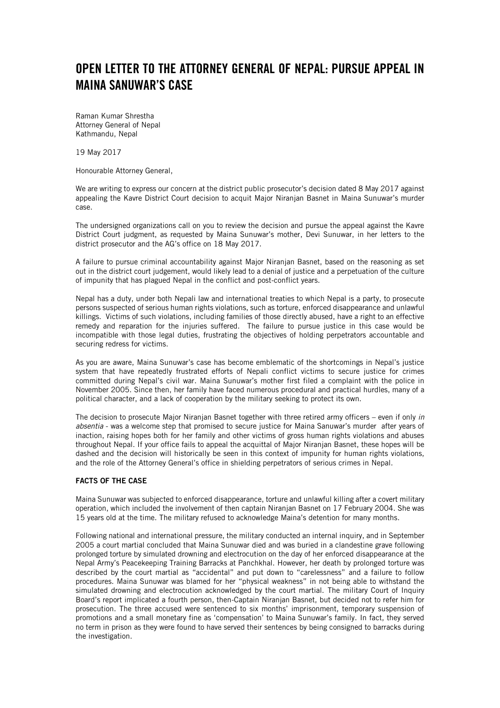# OPEN LETTER TO THE ATTORNEY GENERAL OF NEPAL: PURSUE APPEAL IN MAINA SANUWAR'S CASE

Raman Kumar Shrestha Attorney General of Nepal Kathmandu, Nepal

19 May 2017

Honourable Attorney General,

We are writing to express our concern at the district public prosecutor's decision dated 8 May 2017 against appealing the Kavre District Court decision to acquit Major Niranjan Basnet in Maina Sunuwar's murder case.

The undersigned organizations call on you to review the decision and pursue the appeal against the Kavre District Court judgment, as requested by Maina Sunuwar's mother, Devi Sunuwar, in her letters to the district prosecutor and the AG's office on 18 May 2017.

A failure to pursue criminal accountability against Major Niranjan Basnet, based on the reasoning as set out in the district court judgement, would likely lead to a denial of justice and a perpetuation of the culture of impunity that has plagued Nepal in the conflict and post-conflict years.

Nepal has a duty, under both Nepali law and international treaties to which Nepal is a party, to prosecute persons suspected of serious human rights violations, such as torture, enforced disappearance and unlawful killings. Victims of such violations, including families of those directly abused, have a right to an effective remedy and reparation for the injuries suffered. The failure to pursue justice in this case would be incompatible with those legal duties, frustrating the objectives of holding perpetrators accountable and securing redress for victims.

As you are aware, Maina Sunuwar's case has become emblematic of the shortcomings in Nepal's justice system that have repeatedly frustrated efforts of Nepali conflict victims to secure justice for crimes committed during Nepal's civil war. Maina Sunuwar's mother first filed a complaint with the police in November 2005. Since then, her family have faced numerous procedural and practical hurdles, many of a political character, and a lack of cooperation by the military seeking to protect its own.

The decision to prosecute Major Niranjan Basnet together with three retired army officers – even if only *in absentia* - was a welcome step that promised to secure justice for Maina Sanuwar's murder after years of inaction, raising hopes both for her family and other victims of gross human rights violations and abuses throughout Nepal. If your office fails to appeal the acquittal of Major Niranjan Basnet, these hopes will be dashed and the decision will historically be seen in this context of impunity for human rights violations, and the role of the Attorney General's office in shielding perpetrators of serious crimes in Nepal.

#### FACTS OF THE CASE

Maina Sunuwar was subjected to enforced disappearance, torture and unlawful killing after a covert military operation, which included the involvement of then captain Niranjan Basnet on 17 February 2004. She was 15 years old at the time. The military refused to acknowledge Maina's detention for many months.

Following national and international pressure, the military conducted an internal inquiry, and in September 2005 a court martial concluded that Maina Sunuwar died and was buried in a clandestine grave following prolonged torture by simulated drowning and electrocution on the day of her enforced disappearance at the Nepal Army's Peacekeeping Training Barracks at Panchkhal. However, her death by prolonged torture was described by the court martial as "accidental" and put down to "carelessness" and a failure to follow procedures. Maina Sunuwar was blamed for her "physical weakness" in not being able to withstand the simulated drowning and electrocution acknowledged by the court martial. The military Court of Inquiry Board's report implicated a fourth person, then-Captain Niranjan Basnet, but decided not to refer him for prosecution. The three accused were sentenced to six months' imprisonment, temporary suspension of promotions and a small monetary fine as 'compensation' to Maina Sunuwar's family. In fact, they served no term in prison as they were found to have served their sentences by being consigned to barracks during the investigation.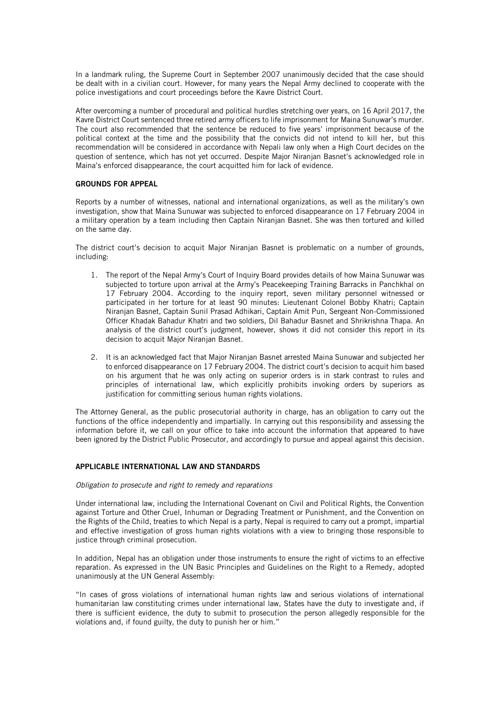In a landmark ruling, the Supreme Court in September 2007 unanimously decided that the case should be dealt with in a civilian court. However, for many years the Nepal Army declined to cooperate with the police investigations and court proceedings before the Kavre District Court.

After overcoming a number of procedural and political hurdles stretching over years, on 16 April 2017, the Kavre District Court sentenced three retired army officers to life imprisonment for Maina Sunuwar's murder. The court also recommended that the sentence be reduced to five years' imprisonment because of the political context at the time and the possibility that the convicts did not intend to kill her, but this recommendation will be considered in accordance with Nepali law only when a High Court decides on the question of sentence, which has not yet occurred. Despite Major Niranjan Basnet's acknowledged role in Maina's enforced disappearance, the court acquitted him for lack of evidence.

### GROUNDS FOR APPEAL

Reports by a number of witnesses, national and international organizations, as well as the military's own investigation, show that Maina Sunuwar was subjected to enforced disappearance on 17 February 2004 in a military operation by a team including then Captain Niranjan Basnet. She was then tortured and killed on the same day.

The district court's decision to acquit Major Niranjan Basnet is problematic on a number of grounds, including:

- 1. The report of the Nepal Army's Court of Inquiry Board provides details of how Maina Sunuwar was subjected to torture upon arrival at the Army's Peacekeeping Training Barracks in Panchkhal on 17 February 2004. According to the inquiry report, seven military personnel witnessed or participated in her torture for at least 90 minutes: Lieutenant Colonel Bobby Khatri; Captain Niranjan Basnet, Captain Sunil Prasad Adhikari, Captain Amit Pun, Sergeant Non-Commissioned Officer Khadak Bahadur Khatri and two soldiers, Dil Bahadur Basnet and Shrikrishna Thapa. An analysis of the district court's judgment, however, shows it did not consider this report in its decision to acquit Major Niranjan Basnet.
- 2. It is an acknowledged fact that Major Niranjan Basnet arrested Maina Sunuwar and subjected her to enforced disappearance on 17 February 2004. The district court's decision to acquit him based on his argument that he was only acting on superior orders is in stark contrast to rules and principles of international law, which explicitly prohibits invoking orders by superiors as justification for committing serious human rights violations.

The Attorney General, as the public prosecutorial authority in charge, has an obligation to carry out the functions of the office independently and impartially. In carrying out this responsibility and assessing the information before it, we call on your office to take into account the information that appeared to have been ignored by the District Public Prosecutor, and accordingly to pursue and appeal against this decision.

#### APPLICABLE INTERNATIONAL LAW AND STANDARDS

#### *Obligation to prosecute and right to remedy and reparations*

Under international law, including the International Covenant on Civil and Political Rights, the Convention against Torture and Other Cruel, Inhuman or Degrading Treatment or Punishment, and the Convention on the Rights of the Child, treaties to which Nepal is a party, Nepal is required to carry out a prompt, impartial and effective investigation of gross human rights violations with a view to bringing those responsible to justice through criminal prosecution.

In addition, Nepal has an obligation under those instruments to ensure the right of victims to an effective reparation. As expressed in the UN Basic Principles and Guidelines on the Right to a Remedy, adopted unanimously at the UN General Assembly:

"In cases of gross violations of international human rights law and serious violations of international humanitarian law constituting crimes under international law, States have the duty to investigate and, if there is sufficient evidence, the duty to submit to prosecution the person allegedly responsible for the violations and, if found guilty, the duty to punish her or him."